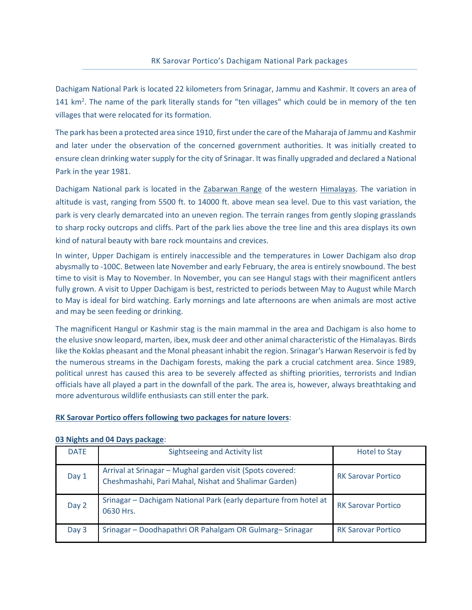Dachigam National Park is located 22 kilometers from Srinagar, Jammu and Kashmir. It covers an area of 141 km<sup>2</sup>. The name of the park literally stands for "ten villages" which could be in memory of the ten villages that were relocated for its formation.

The park has been a protected area since 1910, first under the care of the Maharaja of Jammu and Kashmir and later under the observation of the concerned government authorities. It was initially created to ensure clean drinking water supply for the city of Srinagar. It was finally upgraded and declared a National Park in the year 1981.

Dachigam National park is located in the [Zabarwan Range](https://en.wikipedia.org/wiki/Zabarwan_Range) of the western [Himalayas.](https://en.wikipedia.org/wiki/Himalayas) The variation in altitude is vast, ranging from 5500 ft. to 14000 ft. above mean sea level. Due to this vast variation, the park is very clearly demarcated into an uneven region. The terrain ranges from gently sloping grasslands to sharp rocky outcrops and cliffs. Part of the park lies above the tree line and this area displays its own kind of natural beauty with bare rock mountains and crevices.

In winter, Upper Dachigam is entirely inaccessible and the temperatures in Lower Dachigam also drop abysmally to -100C. Between late November and early February, the area is entirely snowbound. The best time to visit is May to November. In November, you can see Hangul stags with their magnificent antlers fully grown. A visit to Upper Dachigam is best, restricted to periods between May to August while March to May is ideal for bird watching. Early mornings and late afternoons are when animals are most active and may be seen feeding or drinking.

The magnificent Hangul or Kashmir stag is the main mammal in the area and Dachigam is also home to the elusive snow leopard, marten, ibex, musk deer and other animal characteristic of the Himalayas. Birds like the Koklas pheasant and the Monal pheasant inhabit the region. Srinagar's Harwan Reservoir is fed by the numerous streams in the Dachigam forests, making the park a crucial catchment area. Since 1989, political unrest has caused this area to be severely affected as shifting priorities, terrorists and Indian officials have all played a part in the downfall of the park. The area is, however, always breathtaking and more adventurous wildlife enthusiasts can still enter the park.

## **RK Sarovar Portico offers following two packages for nature lovers**:

| <b>DATE</b> | Sightseeing and Activity list                                                                                      | <b>Hotel to Stay</b>      |
|-------------|--------------------------------------------------------------------------------------------------------------------|---------------------------|
| Day 1       | Arrival at Srinagar - Mughal garden visit (Spots covered:<br>Cheshmashahi, Pari Mahal, Nishat and Shalimar Garden) | <b>RK Sarovar Portico</b> |
| Day 2       | Srinagar - Dachigam National Park (early departure from hotel at<br>0630 Hrs.                                      | <b>RK Sarovar Portico</b> |
| Day 3       | Srinagar - Doodhapathri OR Pahalgam OR Gulmarg-Srinagar                                                            | <b>RK Sarovar Portico</b> |

## **03 Nights and 04 Days package**: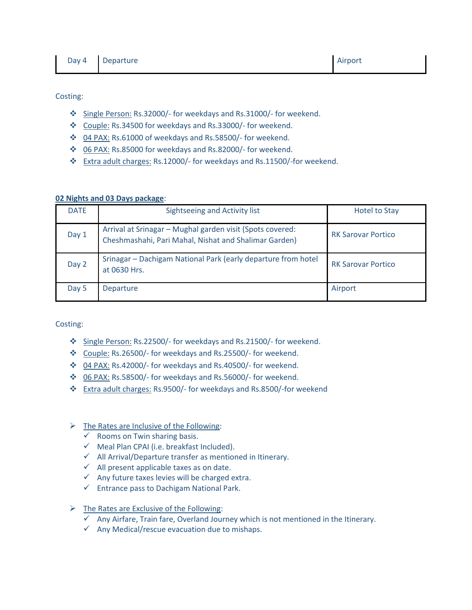Costing:

- Single Person: Rs.32000/- for weekdays and Rs.31000/- for weekend.
- Couple: Rs.34500 for weekdays and Rs.33000/- for weekend.
- 04 PAX: Rs.61000 of weekdays and Rs.58500/- for weekend.
- 06 PAX: Rs.85000 for weekdays and Rs.82000/- for weekend.
- Extra adult charges: Rs.12000/- for weekdays and Rs.11500/-for weekend.

## **02 Nights and 03 Days package**:

| <b>DATE</b> | Sightseeing and Activity list                                                                                      | <b>Hotel to Stay</b>      |
|-------------|--------------------------------------------------------------------------------------------------------------------|---------------------------|
| Day 1       | Arrival at Srinagar - Mughal garden visit (Spots covered:<br>Cheshmashahi, Pari Mahal, Nishat and Shalimar Garden) | <b>RK Sarovar Portico</b> |
| Day 2       | Srinagar - Dachigam National Park (early departure from hotel<br>at 0630 Hrs.                                      | <b>RK Sarovar Portico</b> |
| Day 5       | Departure                                                                                                          | Airport                   |

Costing:

- Single Person: Rs.22500/- for weekdays and Rs.21500/- for weekend.
- Couple: Rs.26500/- for weekdays and Rs.25500/- for weekend.
- 04 PAX: Rs.42000/- for weekdays and Rs.40500/- for weekend.
- 06 PAX: Rs.58500/- for weekdays and Rs.56000/- for weekend.
- Extra adult charges: Rs.9500/- for weekdays and Rs.8500/-for weekend

## $\triangleright$  The Rates are Inclusive of the Following:

- $\checkmark$  Rooms on Twin sharing basis.
- $\checkmark$  Meal Plan CPAI (i.e. breakfast Included).
- $\checkmark$  All Arrival/Departure transfer as mentioned in Itinerary.
- $\checkmark$  All present applicable taxes as on date.
- $\checkmark$  Any future taxes levies will be charged extra.
- $\checkmark$  Entrance pass to Dachigam National Park.
- $\triangleright$  The Rates are Exclusive of the Following:
	- $\checkmark$  Any Airfare, Train fare, Overland Journey which is not mentioned in the Itinerary.
	- $\checkmark$  Any Medical/rescue evacuation due to mishaps.